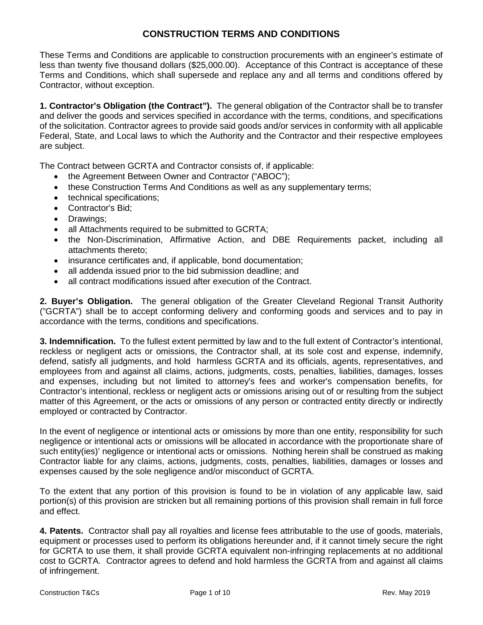## **CONSTRUCTION TERMS AND CONDITIONS**

These Terms and Conditions are applicable to construction procurements with an engineer's estimate of less than twenty five thousand dollars (\$25,000.00). Acceptance of this Contract is acceptance of these Terms and Conditions, which shall supersede and replace any and all terms and conditions offered by Contractor, without exception.

**1. Contractor's Obligation (the Contract").** The general obligation of the Contractor shall be to transfer and deliver the goods and services specified in accordance with the terms, conditions, and specifications of the solicitation. Contractor agrees to provide said goods and/or services in conformity with all applicable Federal, State, and Local laws to which the Authority and the Contractor and their respective employees are subject.

The Contract between GCRTA and Contractor consists of, if applicable:

- the Agreement Between Owner and Contractor ("ABOC");
- these Construction Terms And Conditions as well as any supplementary terms;
- technical specifications:
- Contractor's Bid;
- Drawings;
- all Attachments required to be submitted to GCRTA;
- the Non-Discrimination, Affirmative Action, and DBE Requirements packet, including all attachments thereto;
- insurance certificates and, if applicable, bond documentation;
- all addenda issued prior to the bid submission deadline; and
- all contract modifications issued after execution of the Contract.

**2. Buyer's Obligation.** The general obligation of the Greater Cleveland Regional Transit Authority ("GCRTA") shall be to accept conforming delivery and conforming goods and services and to pay in accordance with the terms, conditions and specifications.

**3. Indemnification.** To the fullest extent permitted by law and to the full extent of Contractor's intentional, reckless or negligent acts or omissions, the Contractor shall, at its sole cost and expense, indemnify, defend, satisfy all judgments, and hold harmless GCRTA and its officials, agents, representatives, and employees from and against all claims, actions, judgments, costs, penalties, liabilities, damages, losses and expenses, including but not limited to attorney's fees and worker's compensation benefits, for Contractor's intentional, reckless or negligent acts or omissions arising out of or resulting from the subject matter of this Agreement, or the acts or omissions of any person or contracted entity directly or indirectly employed or contracted by Contractor.

In the event of negligence or intentional acts or omissions by more than one entity, responsibility for such negligence or intentional acts or omissions will be allocated in accordance with the proportionate share of such entity(ies)' negligence or intentional acts or omissions. Nothing herein shall be construed as making Contractor liable for any claims, actions, judgments, costs, penalties, liabilities, damages or losses and expenses caused by the sole negligence and/or misconduct of GCRTA.

To the extent that any portion of this provision is found to be in violation of any applicable law, said portion(s) of this provision are stricken but all remaining portions of this provision shall remain in full force and effect.

**4. Patents.** Contractor shall pay all royalties and license fees attributable to the use of goods, materials, equipment or processes used to perform its obligations hereunder and, if it cannot timely secure the right for GCRTA to use them, it shall provide GCRTA equivalent non-infringing replacements at no additional cost to GCRTA. Contractor agrees to defend and hold harmless the GCRTA from and against all claims of infringement.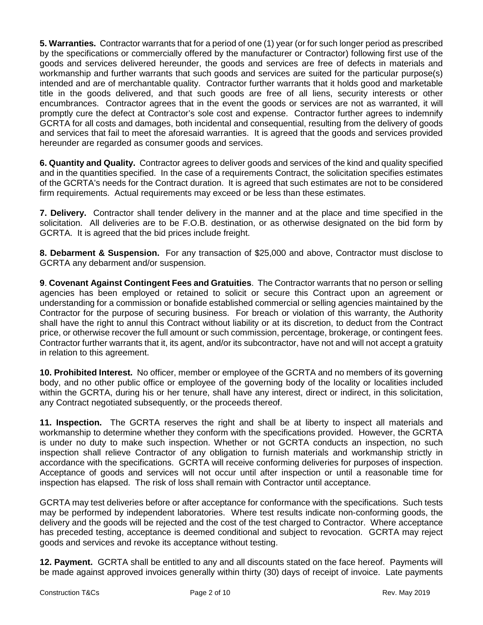**5. Warranties.** Contractor warrants that for a period of one (1) year (or for such longer period as prescribed by the specifications or commercially offered by the manufacturer or Contractor) following first use of the goods and services delivered hereunder, the goods and services are free of defects in materials and workmanship and further warrants that such goods and services are suited for the particular purpose(s) intended and are of merchantable quality. Contractor further warrants that it holds good and marketable title in the goods delivered, and that such goods are free of all liens, security interests or other encumbrances. Contractor agrees that in the event the goods or services are not as warranted, it will promptly cure the defect at Contractor's sole cost and expense. Contractor further agrees to indemnify GCRTA for all costs and damages, both incidental and consequential, resulting from the delivery of goods and services that fail to meet the aforesaid warranties. It is agreed that the goods and services provided hereunder are regarded as consumer goods and services.

**6. Quantity and Quality.** Contractor agrees to deliver goods and services of the kind and quality specified and in the quantities specified. In the case of a requirements Contract, the solicitation specifies estimates of the GCRTA's needs for the Contract duration. It is agreed that such estimates are not to be considered firm requirements. Actual requirements may exceed or be less than these estimates.

**7. Delivery.** Contractor shall tender delivery in the manner and at the place and time specified in the solicitation. All deliveries are to be F.O.B. destination, or as otherwise designated on the bid form by GCRTA. It is agreed that the bid prices include freight.

**8. Debarment & Suspension.** For any transaction of \$25,000 and above, Contractor must disclose to GCRTA any debarment and/or suspension.

**9**. **Covenant Against Contingent Fees and Gratuities**. The Contractor warrants that no person or selling agencies has been employed or retained to solicit or secure this Contract upon an agreement or understanding for a commission or bonafide established commercial or selling agencies maintained by the Contractor for the purpose of securing business. For breach or violation of this warranty, the Authority shall have the right to annul this Contract without liability or at its discretion, to deduct from the Contract price, or otherwise recover the full amount or such commission, percentage, brokerage, or contingent fees. Contractor further warrants that it, its agent, and/or its subcontractor, have not and will not accept a gratuity in relation to this agreement.

**10. Prohibited Interest.** No officer, member or employee of the GCRTA and no members of its governing body, and no other public office or employee of the governing body of the locality or localities included within the GCRTA, during his or her tenure, shall have any interest, direct or indirect, in this solicitation, any Contract negotiated subsequently, or the proceeds thereof.

**11. Inspection.** The GCRTA reserves the right and shall be at liberty to inspect all materials and workmanship to determine whether they conform with the specifications provided. However, the GCRTA is under no duty to make such inspection. Whether or not GCRTA conducts an inspection, no such inspection shall relieve Contractor of any obligation to furnish materials and workmanship strictly in accordance with the specifications. GCRTA will receive conforming deliveries for purposes of inspection. Acceptance of goods and services will not occur until after inspection or until a reasonable time for inspection has elapsed. The risk of loss shall remain with Contractor until acceptance.

GCRTA may test deliveries before or after acceptance for conformance with the specifications. Such tests may be performed by independent laboratories. Where test results indicate non-conforming goods, the delivery and the goods will be rejected and the cost of the test charged to Contractor. Where acceptance has preceded testing, acceptance is deemed conditional and subject to revocation. GCRTA may reject goods and services and revoke its acceptance without testing.

**12. Payment.** GCRTA shall be entitled to any and all discounts stated on the face hereof. Payments will be made against approved invoices generally within thirty (30) days of receipt of invoice. Late payments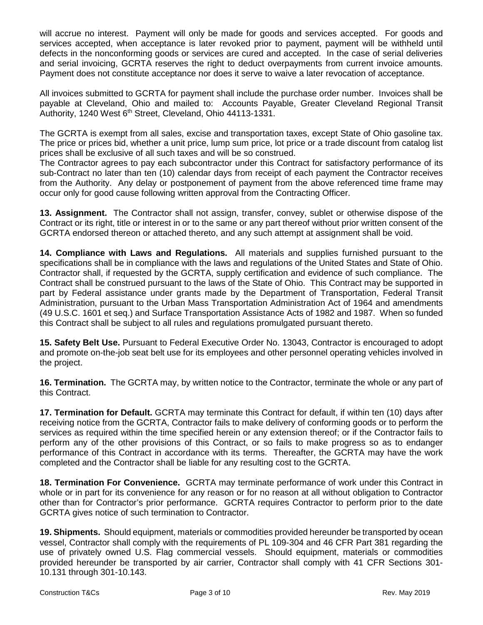will accrue no interest. Payment will only be made for goods and services accepted. For goods and services accepted, when acceptance is later revoked prior to payment, payment will be withheld until defects in the nonconforming goods or services are cured and accepted. In the case of serial deliveries and serial invoicing, GCRTA reserves the right to deduct overpayments from current invoice amounts. Payment does not constitute acceptance nor does it serve to waive a later revocation of acceptance.

All invoices submitted to GCRTA for payment shall include the purchase order number. Invoices shall be payable at Cleveland, Ohio and mailed to: Accounts Payable, Greater Cleveland Regional Transit Authority, 1240 West 6<sup>th</sup> Street, Cleveland, Ohio 44113-1331.

The GCRTA is exempt from all sales, excise and transportation taxes, except State of Ohio gasoline tax. The price or prices bid, whether a unit price, lump sum price, lot price or a trade discount from catalog list prices shall be exclusive of all such taxes and will be so construed.

The Contractor agrees to pay each subcontractor under this Contract for satisfactory performance of its sub-Contract no later than ten (10) calendar days from receipt of each payment the Contractor receives from the Authority. Any delay or postponement of payment from the above referenced time frame may occur only for good cause following written approval from the Contracting Officer.

**13. Assignment.** The Contractor shall not assign, transfer, convey, sublet or otherwise dispose of the Contract or its right, title or interest in or to the same or any part thereof without prior written consent of the GCRTA endorsed thereon or attached thereto, and any such attempt at assignment shall be void.

**14. Compliance with Laws and Regulations.** All materials and supplies furnished pursuant to the specifications shall be in compliance with the laws and regulations of the United States and State of Ohio. Contractor shall, if requested by the GCRTA, supply certification and evidence of such compliance. The Contract shall be construed pursuant to the laws of the State of Ohio. This Contract may be supported in part by Federal assistance under grants made by the Department of Transportation, Federal Transit Administration, pursuant to the Urban Mass Transportation Administration Act of 1964 and amendments (49 U.S.C. 1601 et seq.) and Surface Transportation Assistance Acts of 1982 and 1987. When so funded this Contract shall be subject to all rules and regulations promulgated pursuant thereto.

**15. Safety Belt Use.** Pursuant to Federal Executive Order No. 13043, Contractor is encouraged to adopt and promote on-the-job seat belt use for its employees and other personnel operating vehicles involved in the project.

**16. Termination.** The GCRTA may, by written notice to the Contractor, terminate the whole or any part of this Contract.

**17. Termination for Default.** GCRTA may terminate this Contract for default, if within ten (10) days after receiving notice from the GCRTA, Contractor fails to make delivery of conforming goods or to perform the services as required within the time specified herein or any extension thereof; or if the Contractor fails to perform any of the other provisions of this Contract, or so fails to make progress so as to endanger performance of this Contract in accordance with its terms. Thereafter, the GCRTA may have the work completed and the Contractor shall be liable for any resulting cost to the GCRTA.

**18. Termination For Convenience.** GCRTA may terminate performance of work under this Contract in whole or in part for its convenience for any reason or for no reason at all without obligation to Contractor other than for Contractor's prior performance. GCRTA requires Contractor to perform prior to the date GCRTA gives notice of such termination to Contractor.

**19. Shipments.** Should equipment, materials or commodities provided hereunder be transported by ocean vessel, Contractor shall comply with the requirements of PL 109-304 and 46 CFR Part 381 regarding the use of privately owned U.S. Flag commercial vessels. Should equipment, materials or commodities provided hereunder be transported by air carrier, Contractor shall comply with 41 CFR Sections 301- 10.131 through 301-10.143.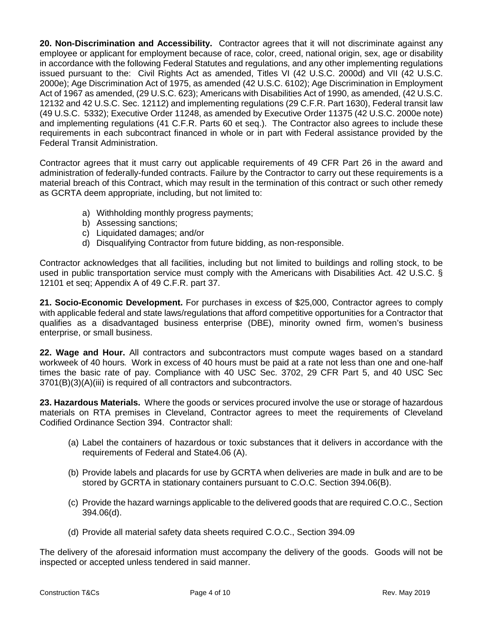**20. Non-Discrimination and Accessibility.** Contractor agrees that it will not discriminate against any employee or applicant for employment because of race, color, creed, national origin, sex, age or disability in accordance with the following Federal Statutes and regulations, and any other implementing regulations issued pursuant to the: Civil Rights Act as amended, Titles VI (42 U.S.C. 2000d) and VII (42 U.S.C. 2000e); Age Discrimination Act of 1975, as amended (42 U.S.C. 6102); Age Discrimination in Employment Act of 1967 as amended, (29 U.S.C. 623); Americans with Disabilities Act of 1990, as amended, (42 U.S.C. 12132 and 42 U.S.C. Sec. 12112) and implementing regulations (29 C.F.R. Part 1630), Federal transit law (49 U.S.C. 5332); Executive Order 11248, as amended by Executive Order 11375 (42 U.S.C. 2000e note) and implementing regulations (41 C.F.R. Parts 60 et seq.). The Contractor also agrees to include these requirements in each subcontract financed in whole or in part with Federal assistance provided by the Federal Transit Administration.

Contractor agrees that it must carry out applicable requirements of 49 CFR Part 26 in the award and administration of federally-funded contracts. Failure by the Contractor to carry out these requirements is a material breach of this Contract, which may result in the termination of this contract or such other remedy as GCRTA deem appropriate, including, but not limited to:

- a) Withholding monthly progress payments;
- b) Assessing sanctions;
- c) Liquidated damages; and/or
- d) Disqualifying Contractor from future bidding, as non-responsible.

Contractor acknowledges that all facilities, including but not limited to buildings and rolling stock, to be used in public transportation service must comply with the Americans with Disabilities Act. 42 U.S.C. § 12101 et seq; Appendix A of 49 C.F.R. part 37.

**21. Socio-Economic Development.** For purchases in excess of \$25,000, Contractor agrees to comply with applicable federal and state laws/regulations that afford competitive opportunities for a Contractor that qualifies as a disadvantaged business enterprise (DBE), minority owned firm, women's business enterprise, or small business.

**22. Wage and Hour.** All contractors and subcontractors must compute wages based on a standard workweek of 40 hours. Work in excess of 40 hours must be paid at a rate not less than one and one-half times the basic rate of pay. Compliance with 40 USC Sec. 3702, 29 CFR Part 5, and 40 USC Sec 3701(B)(3)(A)(iii) is required of all contractors and subcontractors.

**23. Hazardous Materials.** Where the goods or services procured involve the use or storage of hazardous materials on RTA premises in Cleveland, Contractor agrees to meet the requirements of Cleveland Codified Ordinance Section 394. Contractor shall:

- (a) Label the containers of hazardous or toxic substances that it delivers in accordance with the requirements of Federal and State4.06 (A).
- (b) Provide labels and placards for use by GCRTA when deliveries are made in bulk and are to be stored by GCRTA in stationary containers pursuant to C.O.C. Section 394.06(B).
- (c) Provide the hazard warnings applicable to the delivered goods that are required C.O.C., Section 394.06(d).
- (d) Provide all material safety data sheets required C.O.C., Section 394.09

The delivery of the aforesaid information must accompany the delivery of the goods. Goods will not be inspected or accepted unless tendered in said manner.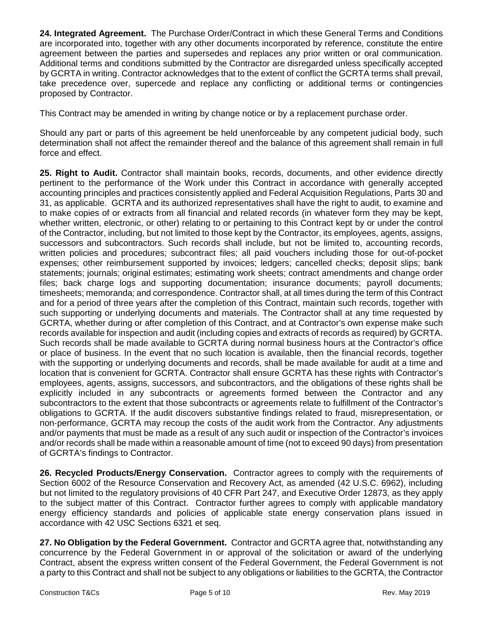**24. Integrated Agreement.** The Purchase Order/Contract in which these General Terms and Conditions are incorporated into, together with any other documents incorporated by reference, constitute the entire agreement between the parties and supersedes and replaces any prior written or oral communication. Additional terms and conditions submitted by the Contractor are disregarded unless specifically accepted by GCRTA in writing. Contractor acknowledges that to the extent of conflict the GCRTA terms shall prevail, take precedence over, supercede and replace any conflicting or additional terms or contingencies proposed by Contractor.

This Contract may be amended in writing by change notice or by a replacement purchase order.

Should any part or parts of this agreement be held unenforceable by any competent judicial body, such determination shall not affect the remainder thereof and the balance of this agreement shall remain in full force and effect.

**25. Right to Audit.** Contractor shall maintain books, records, documents, and other evidence directly pertinent to the performance of the Work under this Contract in accordance with generally accepted accounting principles and practices consistently applied and Federal Acquisition Regulations, Parts 30 and 31, as applicable. GCRTA and its authorized representatives shall have the right to audit, to examine and to make copies of or extracts from all financial and related records (in whatever form they may be kept, whether written, electronic, or other) relating to or pertaining to this Contract kept by or under the control of the Contractor, including, but not limited to those kept by the Contractor, its employees, agents, assigns, successors and subcontractors. Such records shall include, but not be limited to, accounting records, written policies and procedures; subcontract files; all paid vouchers including those for out‐of‐pocket expenses; other reimbursement supported by invoices; ledgers; cancelled checks; deposit slips; bank statements; journals; original estimates; estimating work sheets; contract amendments and change order files; back charge logs and supporting documentation; insurance documents; payroll documents; timesheets; memoranda; and correspondence. Contractor shall, at all times during the term of this Contract and for a period of three years after the completion of this Contract, maintain such records, together with such supporting or underlying documents and materials. The Contractor shall at any time requested by GCRTA, whether during or after completion of this Contract, and at Contractor's own expense make such records available for inspection and audit (including copies and extracts of records as required) by GCRTA. Such records shall be made available to GCRTA during normal business hours at the Contractor's office or place of business. In the event that no such location is available, then the financial records, together with the supporting or underlying documents and records, shall be made available for audit at a time and location that is convenient for GCRTA. Contractor shall ensure GCRTA has these rights with Contractor's employees, agents, assigns, successors, and subcontractors, and the obligations of these rights shall be explicitly included in any subcontracts or agreements formed between the Contractor and any subcontractors to the extent that those subcontracts or agreements relate to fulfillment of the Contractor's obligations to GCRTA. If the audit discovers substantive findings related to fraud, misrepresentation, or non-performance, GCRTA may recoup the costs of the audit work from the Contractor. Any adjustments and/or payments that must be made as a result of any such audit or inspection of the Contractor's invoices and/or records shall be made within a reasonable amount of time (not to exceed 90 days) from presentation of GCRTA's findings to Contractor.

**26. Recycled Products/Energy Conservation.** Contractor agrees to comply with the requirements of Section 6002 of the Resource Conservation and Recovery Act, as amended (42 U.S.C. 6962), including but not limited to the regulatory provisions of 40 CFR Part 247, and Executive Order 12873, as they apply to the subject matter of this Contract. Contractor further agrees to comply with applicable mandatory energy efficiency standards and policies of applicable state energy conservation plans issued in accordance with 42 USC Sections 6321 et seq.

**27. No Obligation by the Federal Government.** Contractor and GCRTA agree that, notwithstanding any concurrence by the Federal Government in or approval of the solicitation or award of the underlying Contract, absent the express written consent of the Federal Government, the Federal Government is not a party to this Contract and shall not be subject to any obligations or liabilities to the GCRTA, the Contractor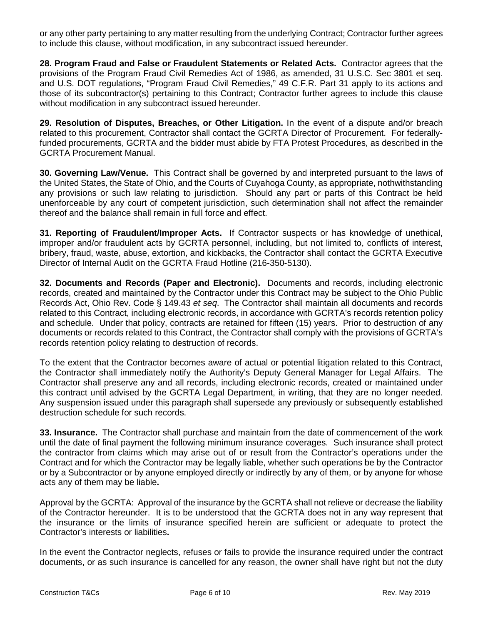or any other party pertaining to any matter resulting from the underlying Contract; Contractor further agrees to include this clause, without modification, in any subcontract issued hereunder.

**28. Program Fraud and False or Fraudulent Statements or Related Acts.** Contractor agrees that the provisions of the Program Fraud Civil Remedies Act of 1986, as amended, 31 U.S.C. Sec 3801 et seq. and U.S. DOT regulations, "Program Fraud Civil Remedies," 49 C.F.R. Part 31 apply to its actions and those of its subcontractor(s) pertaining to this Contract; Contractor further agrees to include this clause without modification in any subcontract issued hereunder.

**29. Resolution of Disputes, Breaches, or Other Litigation.** In the event of a dispute and/or breach related to this procurement, Contractor shall contact the GCRTA Director of Procurement. For federallyfunded procurements, GCRTA and the bidder must abide by FTA Protest Procedures, as described in the GCRTA Procurement Manual.

**30. Governing Law/Venue.** This Contract shall be governed by and interpreted pursuant to the laws of the United States, the State of Ohio, and the Courts of Cuyahoga County, as appropriate, nothwithstanding any provisions or such law relating to jurisdiction. Should any part or parts of this Contract be held unenforceable by any court of competent jurisdiction, such determination shall not affect the remainder thereof and the balance shall remain in full force and effect.

**31. Reporting of Fraudulent/Improper Acts.** If Contractor suspects or has knowledge of unethical, improper and/or fraudulent acts by GCRTA personnel, including, but not limited to, conflicts of interest, bribery, fraud, waste, abuse, extortion, and kickbacks, the Contractor shall contact the GCRTA Executive Director of Internal Audit on the GCRTA Fraud Hotline (216-350-5130).

**32. Documents and Records (Paper and Electronic).** Documents and records, including electronic records, created and maintained by the Contractor under this Contract may be subject to the Ohio Public Records Act, Ohio Rev. Code § 149.43 *et seq*. The Contractor shall maintain all documents and records related to this Contract, including electronic records, in accordance with GCRTA's records retention policy and schedule. Under that policy, contracts are retained for fifteen (15) years. Prior to destruction of any documents or records related to this Contract, the Contractor shall comply with the provisions of GCRTA's records retention policy relating to destruction of records.

To the extent that the Contractor becomes aware of actual or potential litigation related to this Contract, the Contractor shall immediately notify the Authority's Deputy General Manager for Legal Affairs. The Contractor shall preserve any and all records, including electronic records, created or maintained under this contract until advised by the GCRTA Legal Department, in writing, that they are no longer needed. Any suspension issued under this paragraph shall supersede any previously or subsequently established destruction schedule for such records.

**33. Insurance.** The Contractor shall purchase and maintain from the date of commencement of the work until the date of final payment the following minimum insurance coverages. Such insurance shall protect the contractor from claims which may arise out of or result from the Contractor's operations under the Contract and for which the Contractor may be legally liable, whether such operations be by the Contractor or by a Subcontractor or by anyone employed directly or indirectly by any of them, or by anyone for whose acts any of them may be liable**.** 

Approval by the GCRTA: Approval of the insurance by the GCRTA shall not relieve or decrease the liability of the Contractor hereunder. It is to be understood that the GCRTA does not in any way represent that the insurance or the limits of insurance specified herein are sufficient or adequate to protect the Contractor's interests or liabilities**.** 

In the event the Contractor neglects, refuses or fails to provide the insurance required under the contract documents, or as such insurance is cancelled for any reason, the owner shall have right but not the duty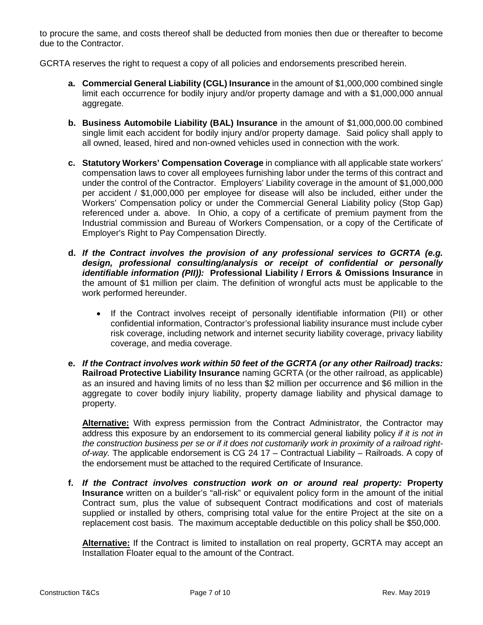to procure the same, and costs thereof shall be deducted from monies then due or thereafter to become due to the Contractor.

GCRTA reserves the right to request a copy of all policies and endorsements prescribed herein.

- **a. Commercial General Liability (CGL) Insurance** in the amount of \$1,000,000 combined single limit each occurrence for bodily injury and/or property damage and with a \$1,000,000 annual aggregate.
- **b. Business Automobile Liability (BAL) Insurance** in the amount of \$1,000,000.00 combined single limit each accident for bodily injury and/or property damage. Said policy shall apply to all owned, leased, hired and non-owned vehicles used in connection with the work.
- **c. Statutory Workers' Compensation Coverage** in compliance with all applicable state workers' compensation laws to cover all employees furnishing labor under the terms of this contract and under the control of the Contractor. Employers' Liability coverage in the amount of \$1,000,000 per accident / \$1,000,000 per employee for disease will also be included, either under the Workers' Compensation policy or under the Commercial General Liability policy (Stop Gap) referenced under a. above. In Ohio, a copy of a certificate of premium payment from the Industrial commission and Bureau of Workers Compensation, or a copy of the Certificate of Employer's Right to Pay Compensation Directly.
- **d.** *If the Contract involves the provision of any professional services to GCRTA (e.g. design, professional consulting/analysis or receipt of confidential or personally identifiable information (PII)):* **Professional Liability / Errors & Omissions Insurance** in the amount of \$1 million per claim. The definition of wrongful acts must be applicable to the work performed hereunder.
	- If the Contract involves receipt of personally identifiable information (PII) or other confidential information, Contractor's professional liability insurance must include cyber risk coverage, including network and internet security liability coverage, privacy liability coverage, and media coverage.
- **e.** *If the Contract involves work within 50 feet of the GCRTA (or any other Railroad) tracks:*  **Railroad Protective Liability Insurance** naming GCRTA (or the other railroad, as applicable) as an insured and having limits of no less than \$2 million per occurrence and \$6 million in the aggregate to cover bodily injury liability, property damage liability and physical damage to property.

**Alternative:** With express permission from the Contract Administrator, the Contractor may address this exposure by an endorsement to its commercial general liability policy *if it is not in the construction business per se or if it does not customarily work in proximity of a railroad rightof-way.* The applicable endorsement is CG 24 17 – Contractual Liability – Railroads. A copy of the endorsement must be attached to the required Certificate of Insurance.

**f.** *If the Contract involves construction work on or around real property:* **Property Insurance** written on a builder's "all-risk" or equivalent policy form in the amount of the initial Contract sum, plus the value of subsequent Contract modifications and cost of materials supplied or installed by others, comprising total value for the entire Project at the site on a replacement cost basis. The maximum acceptable deductible on this policy shall be \$50,000.

**Alternative:** If the Contract is limited to installation on real property, GCRTA may accept an Installation Floater equal to the amount of the Contract.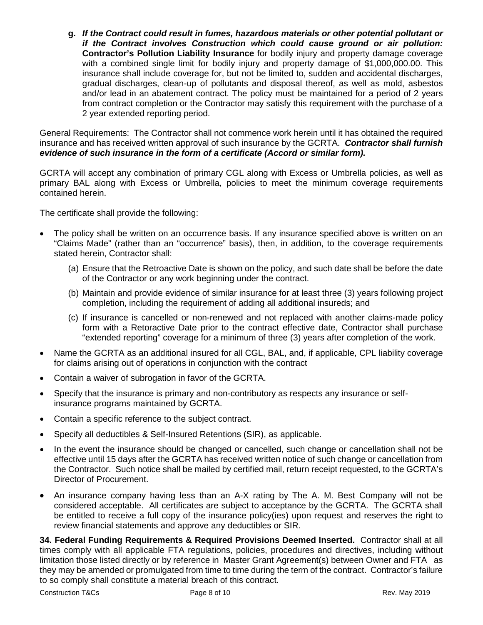**g.** *If the Contract could result in fumes, hazardous materials or other potential pollutant or if the Contract involves Construction which could cause ground or air pollution:*  **Contractor's Pollution Liability Insurance** for bodily injury and property damage coverage with a combined single limit for bodily injury and property damage of \$1,000,000.00. This insurance shall include coverage for, but not be limited to, sudden and accidental discharges, gradual discharges, clean-up of pollutants and disposal thereof, as well as mold, asbestos and/or lead in an abatement contract. The policy must be maintained for a period of 2 years from contract completion or the Contractor may satisfy this requirement with the purchase of a 2 year extended reporting period.

General Requirements: The Contractor shall not commence work herein until it has obtained the required insurance and has received written approval of such insurance by the GCRTA. *Contractor shall furnish evidence of such insurance in the form of a certificate (Accord or similar form).*

GCRTA will accept any combination of primary CGL along with Excess or Umbrella policies, as well as primary BAL along with Excess or Umbrella, policies to meet the minimum coverage requirements contained herein.

The certificate shall provide the following:

- The policy shall be written on an occurrence basis. If any insurance specified above is written on an "Claims Made" (rather than an "occurrence" basis), then, in addition, to the coverage requirements stated herein, Contractor shall:
	- (a) Ensure that the Retroactive Date is shown on the policy, and such date shall be before the date of the Contractor or any work beginning under the contract.
	- (b) Maintain and provide evidence of similar insurance for at least three (3) years following project completion, including the requirement of adding all additional insureds; and
	- (c) If insurance is cancelled or non-renewed and not replaced with another claims-made policy form with a Retoractive Date prior to the contract effective date, Contractor shall purchase "extended reporting" coverage for a minimum of three (3) years after completion of the work.
- Name the GCRTA as an additional insured for all CGL, BAL, and, if applicable, CPL liability coverage for claims arising out of operations in conjunction with the contract
- Contain a waiver of subrogation in favor of the GCRTA.
- Specify that the insurance is primary and non-contributory as respects any insurance or selfinsurance programs maintained by GCRTA.
- Contain a specific reference to the subject contract.
- Specify all deductibles & Self-Insured Retentions (SIR), as applicable.
- In the event the insurance should be changed or cancelled, such change or cancellation shall not be effective until 15 days after the GCRTA has received written notice of such change or cancellation from the Contractor. Such notice shall be mailed by certified mail, return receipt requested, to the GCRTA's Director of Procurement.
- An insurance company having less than an A-X rating by The A. M. Best Company will not be considered acceptable. All certificates are subject to acceptance by the GCRTA. The GCRTA shall be entitled to receive a full copy of the insurance policy(ies) upon request and reserves the right to review financial statements and approve any deductibles or SIR.

**34. Federal Funding Requirements & Required Provisions Deemed Inserted.** Contractor shall at all times comply with all applicable FTA regulations, policies, procedures and directives, including without limitation those listed directly or by reference in Master Grant Agreement(s) between Owner and FTA as they may be amended or promulgated from time to time during the term of the contract. Contractor's failure to so comply shall constitute a material breach of this contract.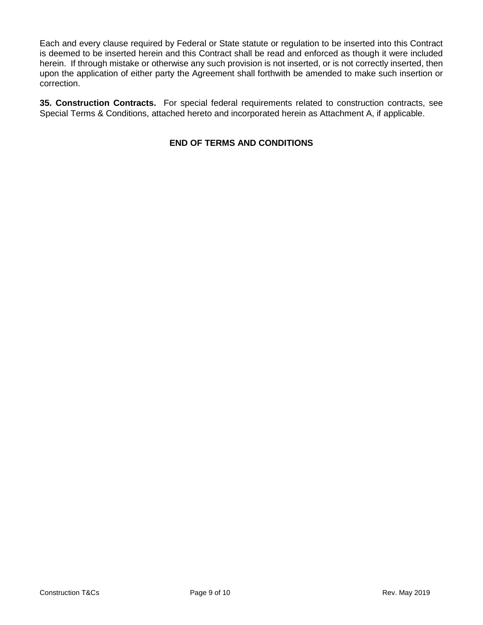Each and every clause required by Federal or State statute or regulation to be inserted into this Contract is deemed to be inserted herein and this Contract shall be read and enforced as though it were included herein. If through mistake or otherwise any such provision is not inserted, or is not correctly inserted, then upon the application of either party the Agreement shall forthwith be amended to make such insertion or correction.

**35. Construction Contracts.** For special federal requirements related to construction contracts, see Special Terms & Conditions, attached hereto and incorporated herein as Attachment A, if applicable.

## **END OF TERMS AND CONDITIONS**